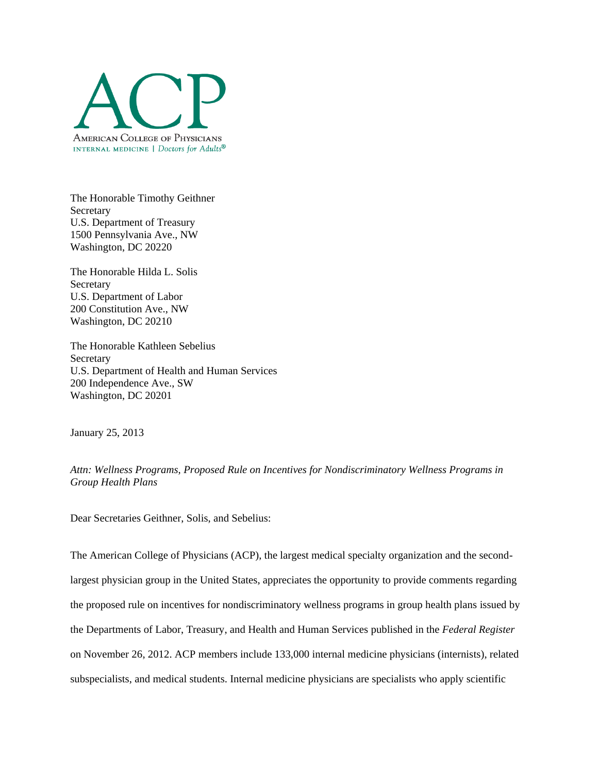

The Honorable Timothy Geithner Secretary U.S. Department of Treasury 1500 Pennsylvania Ave., NW Washington, DC 20220

The Honorable Hilda L. Solis **Secretary** U.S. Department of Labor 200 Constitution Ave., NW Washington, DC 20210

The Honorable Kathleen Sebelius **Secretary** U.S. Department of Health and Human Services 200 Independence Ave., SW Washington, DC 20201

January 25, 2013

*Attn: Wellness Programs, Proposed Rule on Incentives for Nondiscriminatory Wellness Programs in Group Health Plans*

Dear Secretaries Geithner, Solis, and Sebelius:

The American College of Physicians (ACP), the largest medical specialty organization and the secondlargest physician group in the United States, appreciates the opportunity to provide comments regarding the proposed rule on incentives for nondiscriminatory wellness programs in group health plans issued by the Departments of Labor, Treasury, and Health and Human Services published in the *Federal Register* on November 26, 2012. ACP members include 133,000 internal medicine physicians (internists), related subspecialists, and medical students. Internal medicine physicians are specialists who apply scientific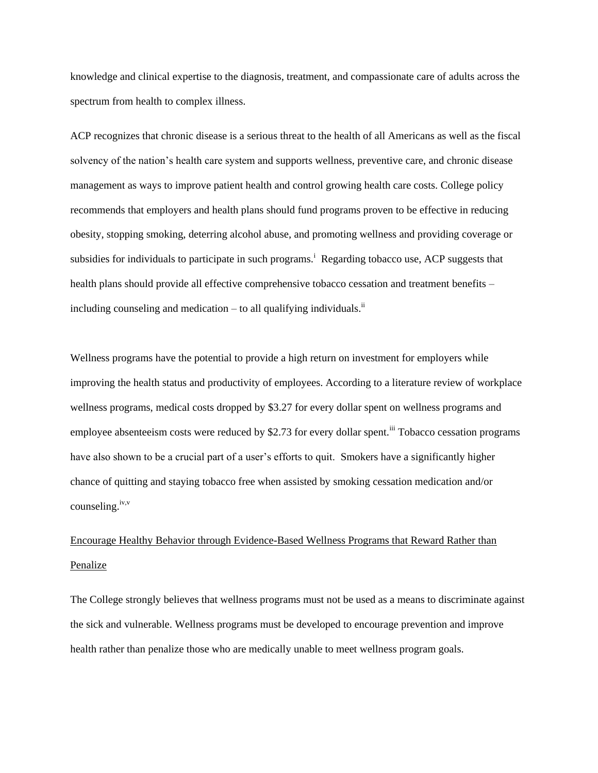knowledge and clinical expertise to the diagnosis, treatment, and compassionate care of adults across the spectrum from health to complex illness.

ACP recognizes that chronic disease is a serious threat to the health of all Americans as well as the fiscal solvency of the nation's health care system and supports wellness, preventive care, and chronic disease management as ways to improve patient health and control growing health care costs. College policy recommends that employers and health plans should fund programs proven to be effective in reducing obesity, stopping smoking, deterring alcohol abuse, and promoting wellness and providing coverage or subsidies for individuals to participate in such programs.<sup>i</sup> Regarding tobacco use, ACP suggests that health plans should provide all effective comprehensive tobacco cessation and treatment benefits – including counseling and medication  $-$  to all qualifying individuals.<sup>ii</sup>

Wellness programs have the potential to provide a high return on investment for employers while improving the health status and productivity of employees. According to a literature review of workplace wellness programs, medical costs dropped by \$3.27 for every dollar spent on wellness programs and employee absenteeism costs were reduced by \$2.73 for every dollar spent.<sup>iii</sup> Tobacco cessation programs have also shown to be a crucial part of a user's efforts to quit. Smokers have a significantly higher chance of quitting and staying tobacco free when assisted by smoking cessation medication and/or counseling.<sup>iv,v</sup>

## Encourage Healthy Behavior through Evidence-Based Wellness Programs that Reward Rather than Penalize

The College strongly believes that wellness programs must not be used as a means to discriminate against the sick and vulnerable. Wellness programs must be developed to encourage prevention and improve health rather than penalize those who are medically unable to meet wellness program goals.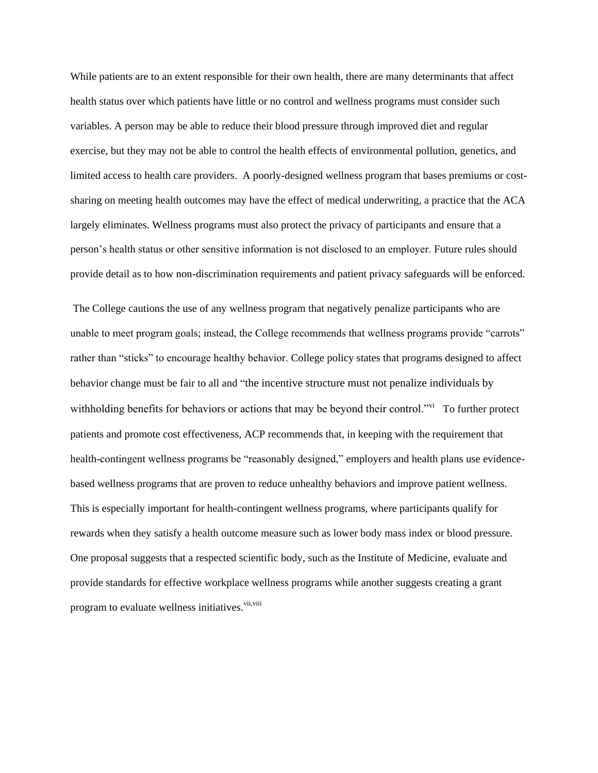While patients are to an extent responsible for their own health, there are many determinants that affect health status over which patients have little or no control and wellness programs must consider such variables. A person may be able to reduce their blood pressure through improved diet and regular exercise, but they may not be able to control the health effects of environmental pollution, genetics, and limited access to health care providers. A poorly-designed wellness program that bases premiums or costsharing on meeting health outcomes may have the effect of medical underwriting, a practice that the ACA largely eliminates. Wellness programs must also protect the privacy of participants and ensure that a person's health status or other sensitive information is not disclosed to an employer. Future rules should provide detail as to how non-discrimination requirements and patient privacy safeguards will be enforced.

The College cautions the use of any wellness program that negatively penalize participants who are unable to meet program goals; instead, the College recommends that wellness programs provide "carrots" rather than "sticks" to encourage healthy behavior. College policy states that programs designed to affect behavior change must be fair to all and "the incentive structure must not penalize individuals by withholding benefits for behaviors or actions that may be beyond their control."<sup>vi</sup> To further protect patients and promote cost effectiveness, ACP recommends that, in keeping with the requirement that health-contingent wellness programs be "reasonably designed," employers and health plans use evidencebased wellness programs that are proven to reduce unhealthy behaviors and improve patient wellness. This is especially important for health-contingent wellness programs, where participants qualify for rewards when they satisfy a health outcome measure such as lower body mass index or blood pressure. One proposal suggests that a respected scientific body, such as the Institute of Medicine, evaluate and provide standards for effective workplace wellness programs while another suggests creating a grant program to evaluate wellness initiatives.<sup>vii,viii</sup>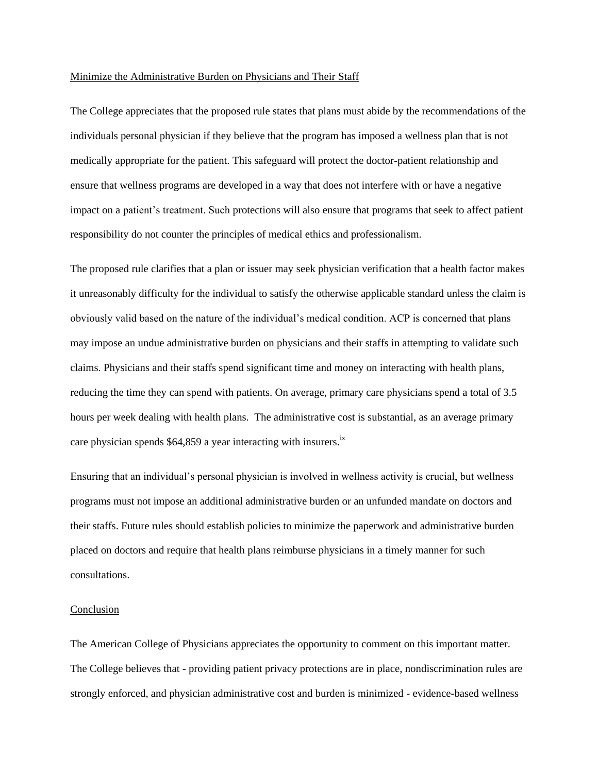## Minimize the Administrative Burden on Physicians and Their Staff

The College appreciates that the proposed rule states that plans must abide by the recommendations of the individuals personal physician if they believe that the program has imposed a wellness plan that is not medically appropriate for the patient. This safeguard will protect the doctor-patient relationship and ensure that wellness programs are developed in a way that does not interfere with or have a negative impact on a patient's treatment. Such protections will also ensure that programs that seek to affect patient responsibility do not counter the principles of medical ethics and professionalism.

The proposed rule clarifies that a plan or issuer may seek physician verification that a health factor makes it unreasonably difficulty for the individual to satisfy the otherwise applicable standard unless the claim is obviously valid based on the nature of the individual's medical condition. ACP is concerned that plans may impose an undue administrative burden on physicians and their staffs in attempting to validate such claims. Physicians and their staffs spend significant time and money on interacting with health plans, reducing the time they can spend with patients. On average, primary care physicians spend a total of 3.5 hours per week dealing with health plans. The administrative cost is substantial, as an average primary care physician spends  $$64,859$  a year interacting with insurers.<sup>ix</sup>

Ensuring that an individual's personal physician is involved in wellness activity is crucial, but wellness programs must not impose an additional administrative burden or an unfunded mandate on doctors and their staffs. Future rules should establish policies to minimize the paperwork and administrative burden placed on doctors and require that health plans reimburse physicians in a timely manner for such consultations.

## Conclusion

The American College of Physicians appreciates the opportunity to comment on this important matter. The College believes that - providing patient privacy protections are in place, nondiscrimination rules are strongly enforced, and physician administrative cost and burden is minimized - evidence-based wellness